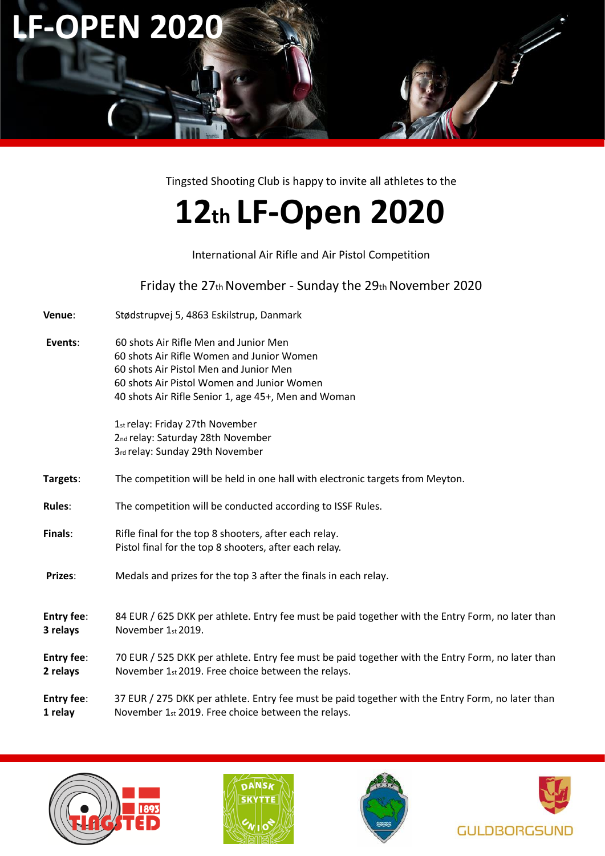

Tingsted Shooting Club is happy to invite all athletes to the

# **12th LF‐Open 2020**

## International Air Rifle and Air Pistol Competition

Friday the 27th November - Sunday the 29th November 2020

- **Venue**: Stødstrupvej 5, 4863 Eskilstrup, Danmark
- **Events**: 60 shots Air Rifle Men and Junior Men 60 shots Air Rifle Women and Junior Women 60 shots Air Pistol Men and Junior Men 60 shots Air Pistol Women and Junior Women 40 shots Air Rifle Senior 1, age 45+, Men and Woman

1st relay: Friday 27th November 2nd relay: Saturday 28th November 3rd relay: Sunday 29th November

- **Targets**: The competition will be held in one hall with electronic targets from Meyton.
- **Rules**: The competition will be conducted according to ISSF Rules.
- **Finals:** Rifle final for the top 8 shooters, after each relay. Pistol final for the top 8 shooters, after each relay.
- **Prizes**: Medals and prizes for the top 3 after the finals in each relay.
- **Entry fee**: 84 EUR / 625 DKK per athlete. Entry fee must be paid together with the Entry Form, no later than **3 relays** November 1st 2019.
- **Entry fee**: 70 EUR / 525 DKK per athlete. Entry fee must be paid together with the Entry Form, no later than **2 relays** November 1st 2019. Free choice between the relays.
- **Entry fee**: 37 EUR / 275 DKK per athlete. Entry fee must be paid together with the Entry Form, no later than **1 relay** November 1st 2019. Free choice between the relays.







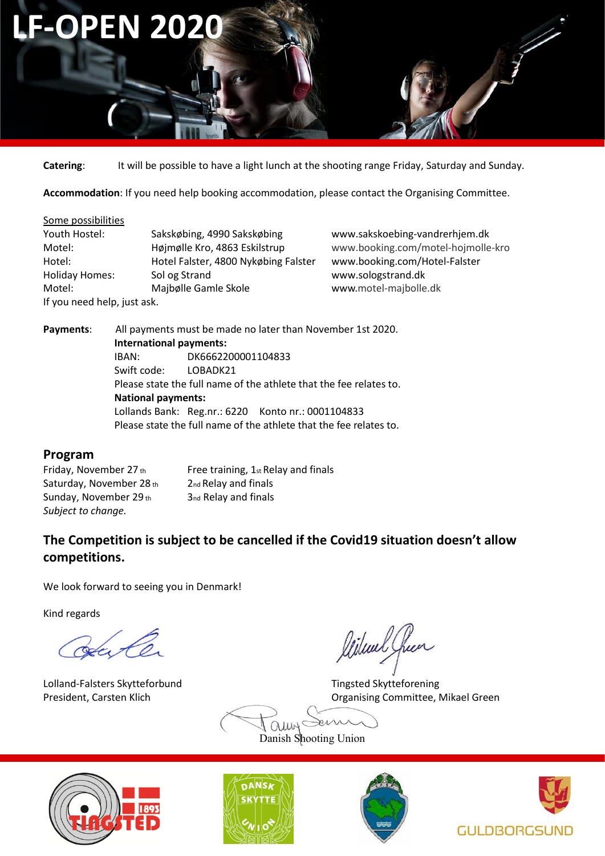

**Catering**: It will be possible to have a light lunch at the shooting range Friday, Saturday and Sunday.

**Accommodation**: If you need help booking accommodation, please contact the Organising Committee.

#### Some possibilities

| Youth Hostel:               | Sakskøbing, 4990 Sakskøbing          |
|-----------------------------|--------------------------------------|
| Motel:                      | Højmølle Kro, 4863 Eskilstrup        |
| Hotel:                      | Hotel Falster, 4800 Nykøbing Falster |
| <b>Holiday Homes:</b>       | Sol og Strand                        |
| Motel:                      | Majbølle Gamle Skole                 |
| If you need help, just ask. |                                      |

www.sakskoebing-vandrerhjem.dk www.booking.com/motel-hojmolle-kro [www.booking.com/Hotel-Falster](http://www.google.com/aclk?sa=l&ai=CeisGuGrbU8O7CYehygPq0IK4AajZpPkEkKTAsDOkyrK-CggAEAEg1IC9DSgDUMmVtqP5_____wFg0anAgtgHoAHS5q7-A8gBAakCfvVUafRztj7IAxuqBCJP0KJgMExkc0QmP7ufyXSmDrtMa1qUGYOsCIH23GeN8QEWgAeY0rsIkAcB&sig=AOD64_2Bljrx7Fd-4p2Ccie0h6xSbG5Bew&adurl=http://www.booking.com/hotel/dk/falster.da.html%3Faid%3D313140%3Blabel%3Dfalster-fjsXwktGrT36FqRz9jN2VgS13741315232:pl:ta:p1:p2:ac:ap1t1:nes%3Bws%3D&nb=1&res_url=http%3A%2F%2Fsoeg.jubii.dk%2Fweb%3Fq%3DHotel%2520Falster&rurl=http%3A%2F%2Fsoeg.jubii.dk%2Fweb%3Fq%3Dmotel%2520h%25C3%25B8jm%25C3%25B8lle%2520kro&nm=11) www.sologstrand.dk www.motel-majbolle.dk

**Payments**: All payments must be made no later than November 1st 2020. **International payments:**  IBAN: DK6662200001104833 Swift code: LOBADK21 Please state the full name of the athlete that the fee relates to. **National payments:**  Lollands Bank: Reg.nr.: 6220 Konto nr.: 0001104833 Please state the full name of the athlete that the fee relates to.

## **Program**

Friday, November 27 th Free training,  $1$ <sub>st</sub> Relay and finals Saturday, November 28 th<sub>2nd</sub> Relay and finals Sunday, November 29 th 3nd Relay and finals *Subject to change.* 

# **The Competition is subject to be cancelled if the Covid19 situation doesn't allow competitions.**

We look forward to seeing you in Denmark!

Kind regards

Have

Lolland-Falsters Skytteforbund Tingsted Skytteforening

likual Chen

President, Carsten Klich **Dragonizier Committee, Mikael Green** 

 $\chi$ auns Danish Shooting Union